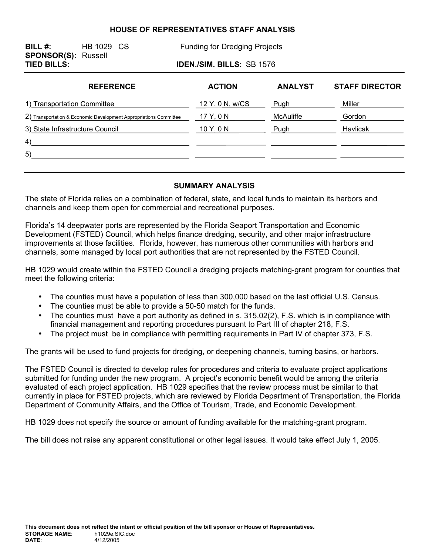#### **HOUSE OF REPRESENTATIVES STAFF ANALYSIS**

**BILL #:** HB 1029 CS Funding for Dredging Projects **SPONSOR(S):** Russell **TIED BILLS: IDEN./SIM. BILLS:** SB 1576 **REFERENCE ACTION ANALYST STAFF DIRECTOR**  1) Transportation Committee 12 Y, 0 N, w/CS Pugh Miller 2) Transportation & Economic Development Appropriations Committee 17 Y, 0 N MCAuliffe Gordon

3) State Infrastructure Council 2009 10 Y, 0 N Pugh Pugh Havlicak 4) 5)

### **SUMMARY ANALYSIS**

The state of Florida relies on a combination of federal, state, and local funds to maintain its harbors and channels and keep them open for commercial and recreational purposes.

 $\sim 10^{11}$ 

Florida's 14 deepwater ports are represented by the Florida Seaport Transportation and Economic Development (FSTED) Council, which helps finance dredging, security, and other major infrastructure improvements at those facilities. Florida, however, has numerous other communities with harbors and channels, some managed by local port authorities that are not represented by the FSTED Council.

HB 1029 would create within the FSTED Council a dredging projects matching-grant program for counties that meet the following criteria:

- The counties must have a population of less than 300,000 based on the last official U.S. Census.
- The counties must be able to provide a 50-50 match for the funds.
- The counties must have a port authority as defined in s. 315.02(2), F.S. which is in compliance with financial management and reporting procedures pursuant to Part III of chapter 218, F.S.
- The project must be in compliance with permitting requirements in Part IV of chapter 373, F.S.

The grants will be used to fund projects for dredging, or deepening channels, turning basins, or harbors.

The FSTED Council is directed to develop rules for procedures and criteria to evaluate project applications submitted for funding under the new program. A project's economic benefit would be among the criteria evaluated of each project application. HB 1029 specifies that the review process must be similar to that currently in place for FSTED projects, which are reviewed by Florida Department of Transportation, the Florida Department of Community Affairs, and the Office of Tourism, Trade, and Economic Development.

HB 1029 does not specify the source or amount of funding available for the matching-grant program.

The bill does not raise any apparent constitutional or other legal issues. It would take effect July 1, 2005.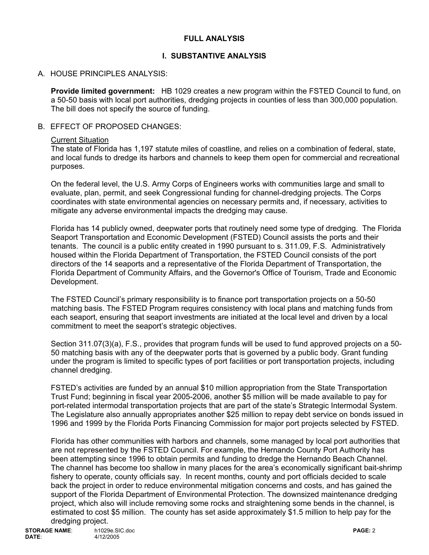## **FULL ANALYSIS**

# **I. SUBSTANTIVE ANALYSIS**

## A. HOUSE PRINCIPLES ANALYSIS:

**Provide limited government:** HB 1029 creates a new program within the FSTED Council to fund, on a 50-50 basis with local port authorities, dredging projects in counties of less than 300,000 population. The bill does not specify the source of funding.

### B. EFFECT OF PROPOSED CHANGES:

#### Current Situation

The state of Florida has 1,197 statute miles of coastline, and relies on a combination of federal, state, and local funds to dredge its harbors and channels to keep them open for commercial and recreational purposes.

On the federal level, the U.S. Army Corps of Engineers works with communities large and small to evaluate, plan, permit, and seek Congressional funding for channel-dredging projects. The Corps coordinates with state environmental agencies on necessary permits and, if necessary, activities to mitigate any adverse environmental impacts the dredging may cause.

Florida has 14 publicly owned, deepwater ports that routinely need some type of dredging. The Florida Seaport Transportation and Economic Development (FSTED) Council assists the ports and their tenants. The council is a public entity created in 1990 pursuant to s. 311.09, F.S. Administratively housed within the Florida Department of Transportation, the FSTED Council consists of the port directors of the 14 seaports and a representative of the Florida Department of Transportation, the Florida Department of Community Affairs, and the Governor's Office of Tourism, Trade and Economic Development.

The FSTED Council's primary responsibility is to finance port transportation projects on a 50-50 matching basis. The FSTED Program requires consistency with local plans and matching funds from each seaport, ensuring that seaport investments are initiated at the local level and driven by a local commitment to meet the seaport's strategic objectives.

Section 311.07(3)(a), F.S., provides that program funds will be used to fund approved projects on a 50- 50 matching basis with any of the deepwater ports that is governed by a public body. Grant funding under the program is limited to specific types of port facilities or port transportation projects, including channel dredging.

FSTED's activities are funded by an annual \$10 million appropriation from the State Transportation Trust Fund; beginning in fiscal year 2005-2006, another \$5 million will be made available to pay for port-related intermodal transportation projects that are part of the state's Strategic Intermodal System. The Legislature also annually appropriates another \$25 million to repay debt service on bonds issued in 1996 and 1999 by the Florida Ports Financing Commission for major port projects selected by FSTED.

Florida has other communities with harbors and channels, some managed by local port authorities that are not represented by the FSTED Council. For example, the Hernando County Port Authority has been attempting since 1996 to obtain permits and funding to dredge the Hernando Beach Channel. The channel has become too shallow in many places for the area's economically significant bait-shrimp fishery to operate, county officials say. In recent months, county and port officials decided to scale back the project in order to reduce environmental mitigation concerns and costs, and has gained the support of the Florida Department of Environmental Protection. The downsized maintenance dredging project, which also will include removing some rocks and straightening some bends in the channel, is estimated to cost \$5 million. The county has set aside approximately \$1.5 million to help pay for the dredging project.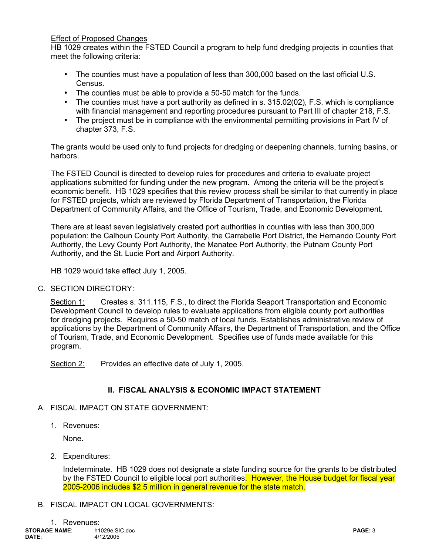### Effect of Proposed Changes

HB 1029 creates within the FSTED Council a program to help fund dredging projects in counties that meet the following criteria:

- The counties must have a population of less than 300,000 based on the last official U.S. Census.
- The counties must be able to provide a 50-50 match for the funds.
- The counties must have a port authority as defined in s. 315.02(02), F.S. which is compliance with financial management and reporting procedures pursuant to Part III of chapter 218, F.S.
- The project must be in compliance with the environmental permitting provisions in Part IV of chapter 373, F.S.

The grants would be used only to fund projects for dredging or deepening channels, turning basins, or harbors.

The FSTED Council is directed to develop rules for procedures and criteria to evaluate project applications submitted for funding under the new program. Among the criteria will be the project's economic benefit. HB 1029 specifies that this review process shall be similar to that currently in place for FSTED projects, which are reviewed by Florida Department of Transportation, the Florida Department of Community Affairs, and the Office of Tourism, Trade, and Economic Development.

There are at least seven legislatively created port authorities in counties with less than 300,000 population: the Calhoun County Port Authority, the Carrabelle Port District, the Hernando County Port Authority, the Levy County Port Authority, the Manatee Port Authority, the Putnam County Port Authority, and the St. Lucie Port and Airport Authority.

HB 1029 would take effect July 1, 2005.

C. SECTION DIRECTORY:

 Section 1: Creates s. 311.115, F.S., to direct the Florida Seaport Transportation and Economic Development Council to develop rules to evaluate applications from eligible county port authorities for dredging projects. Requires a 50-50 match of local funds. Establishes administrative review of applications by the Department of Community Affairs, the Department of Transportation, and the Office of Tourism, Trade, and Economic Development. Specifies use of funds made available for this program.

Section 2: Provides an effective date of July 1, 2005.

## **II. FISCAL ANALYSIS & ECONOMIC IMPACT STATEMENT**

- A. FISCAL IMPACT ON STATE GOVERNMENT:
	- 1. Revenues:

None.

2. Expenditures:

Indeterminate. HB 1029 does not designate a state funding source for the grants to be distributed by the FSTED Council to eligible local port authorities. However, the House budget for fiscal year 2005-2006 includes \$2.5 million in general revenue for the state match.

B. FISCAL IMPACT ON LOCAL GOVERNMENTS: